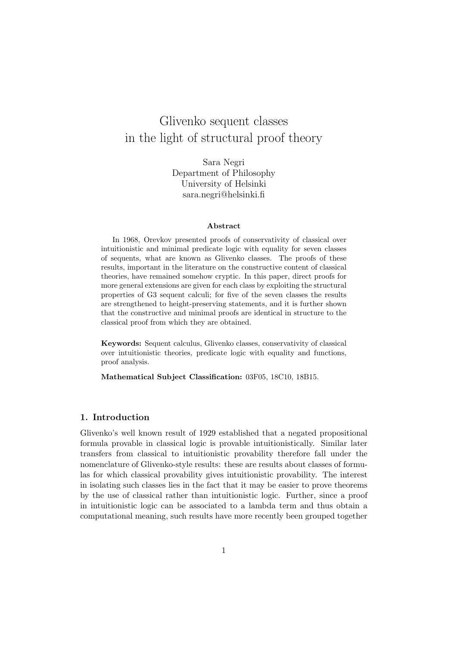# Glivenko sequent classes in the light of structural proof theory

Sara Negri Department of Philosophy University of Helsinki sara.negri@helsinki.fi

#### Abstract

In 1968, Orevkov presented proofs of conservativity of classical over intuitionistic and minimal predicate logic with equality for seven classes of sequents, what are known as Glivenko classes. The proofs of these results, important in the literature on the constructive content of classical theories, have remained somehow cryptic. In this paper, direct proofs for more general extensions are given for each class by exploiting the structural properties of G3 sequent calculi; for five of the seven classes the results are strengthened to height-preserving statements, and it is further shown that the constructive and minimal proofs are identical in structure to the classical proof from which they are obtained.

Keywords: Sequent calculus, Glivenko classes, conservativity of classical over intuitionistic theories, predicate logic with equality and functions, proof analysis.

Mathematical Subject Classification: 03F05, 18C10, 18B15.

# 1. Introduction

Glivenko's well known result of 1929 established that a negated propositional formula provable in classical logic is provable intuitionistically. Similar later transfers from classical to intuitionistic provability therefore fall under the nomenclature of Glivenko-style results: these are results about classes of formulas for which classical provability gives intuitionistic provability. The interest in isolating such classes lies in the fact that it may be easier to prove theorems by the use of classical rather than intuitionistic logic. Further, since a proof in intuitionistic logic can be associated to a lambda term and thus obtain a computational meaning, such results have more recently been grouped together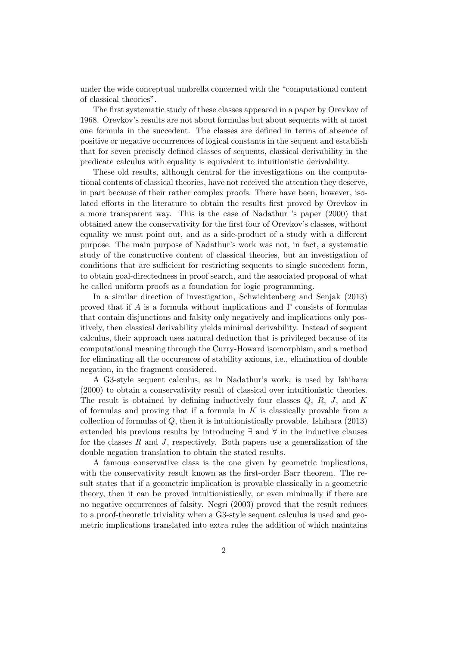under the wide conceptual umbrella concerned with the "computational content of classical theories".

The first systematic study of these classes appeared in a paper by Orevkov of 1968. Orevkov's results are not about formulas but about sequents with at most one formula in the succedent. The classes are defined in terms of absence of positive or negative occurrences of logical constants in the sequent and establish that for seven precisely defined classes of sequents, classical derivability in the predicate calculus with equality is equivalent to intuitionistic derivability.

These old results, although central for the investigations on the computational contents of classical theories, have not received the attention they deserve, in part because of their rather complex proofs. There have been, however, isolated efforts in the literature to obtain the results first proved by Orevkov in a more transparent way. This is the case of Nadathur 's paper (2000) that obtained anew the conservativity for the first four of Orevkov's classes, without equality we must point out, and as a side-product of a study with a different purpose. The main purpose of Nadathur's work was not, in fact, a systematic study of the constructive content of classical theories, but an investigation of conditions that are sufficient for restricting sequents to single succedent form, to obtain goal-directedness in proof search, and the associated proposal of what he called uniform proofs as a foundation for logic programming.

In a similar direction of investigation, Schwichtenberg and Senjak (2013) proved that if *A* is a formula without implications and  $\Gamma$  consists of formulas that contain disjunctions and falsity only negatively and implications only positively, then classical derivability yields minimal derivability. Instead of sequent calculus, their approach uses natural deduction that is privileged because of its computational meaning through the Curry-Howard isomorphism, and a method for eliminating all the occurences of stability axioms, i.e., elimination of double negation, in the fragment considered.

A G3-style sequent calculus, as in Nadathur's work, is used by Ishihara (2000) to obtain a conservativity result of classical over intuitionistic theories. The result is obtained by defining inductively four classes *Q*, *R*, *J*, and *K* of formulas and proving that if a formula in *K* is classically provable from a collection of formulas of *Q*, then it is intuitionistically provable. Ishihara (2013) extended his previous results by introducing  $\exists$  and  $\forall$  in the inductive clauses for the classes *R* and *J*, respectively. Both papers use a generalization of the double negation translation to obtain the stated results.

A famous conservative class is the one given by geometric implications, with the conservativity result known as the first-order Barr theorem. The result states that if a geometric implication is provable classically in a geometric theory, then it can be proved intuitionistically, or even minimally if there are no negative occurrences of falsity. Negri (2003) proved that the result reduces to a proof-theoretic triviality when a G3-style sequent calculus is used and geometric implications translated into extra rules the addition of which maintains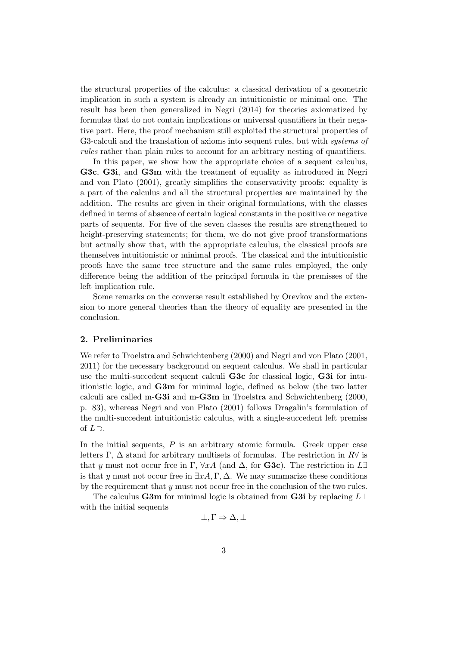the structural properties of the calculus: a classical derivation of a geometric implication in such a system is already an intuitionistic or minimal one. The result has been then generalized in Negri (2014) for theories axiomatized by formulas that do not contain implications or universal quantifiers in their negative part. Here, the proof mechanism still exploited the structural properties of G3-calculi and the translation of axioms into sequent rules, but with *systems of rules* rather than plain rules to account for an arbitrary nesting of quantifiers.

In this paper, we show how the appropriate choice of a sequent calculus, G3c, G3i, and G3m with the treatment of equality as introduced in Negri and von Plato (2001), greatly simplifies the conservativity proofs: equality is a part of the calculus and all the structural properties are maintained by the addition. The results are given in their original formulations, with the classes defined in terms of absence of certain logical constants in the positive or negative parts of sequents. For five of the seven classes the results are strengthened to height-preserving statements; for them, we do not give proof transformations but actually show that, with the appropriate calculus, the classical proofs are themselves intuitionistic or minimal proofs. The classical and the intuitionistic proofs have the same tree structure and the same rules employed, the only difference being the addition of the principal formula in the premisses of the left implication rule.

Some remarks on the converse result established by Orevkov and the extension to more general theories than the theory of equality are presented in the conclusion.

## 2. Preliminaries

We refer to Troelstra and Schwichtenberg (2000) and Negri and von Plato (2001, 2011) for the necessary background on sequent calculus. We shall in particular use the multi-succedent sequent calculi G3c for classical logic, G3i for intuitionistic logic, and G3m for minimal logic, defined as below (the two latter calculi are called m-G3i and m-G3m in Troelstra and Schwichtenberg (2000, p. 83), whereas Negri and von Plato (2001) follows Dragalin's formulation of the multi-succedent intuitionistic calculus, with a single-succedent left premiss of  $L \supset$ .

In the initial sequents, *P* is an arbitrary atomic formula. Greek upper case letters  $\Gamma$ ,  $\Delta$  stand for arbitrary multisets of formulas. The restriction in  $R\forall$  is that *y* must not occur free in  $\Gamma$ ,  $\forall xA$  (and  $\Delta$ , for **G3c**). The restriction in  $L\exists$ is that *y* must not occur free in  $\exists x A, \Gamma, \Delta$ . We may summarize these conditions by the requirement that *y* must not occur free in the conclusion of the two rules.

The calculus **G3m** for minimal logic is obtained from **G3i** by replacing  $L\perp$ with the initial sequents

$$
\bot, \Gamma \Rightarrow \Delta, \bot
$$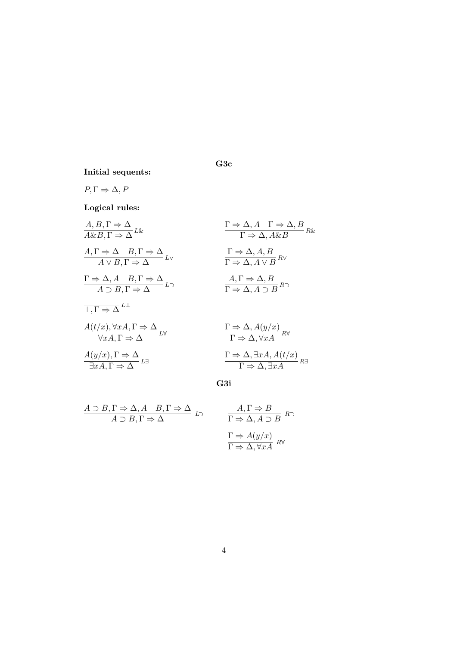Initial sequents:

$$
P,\Gamma\Rightarrow\Delta,P
$$

Logical rules:

| $A, B, \Gamma \Rightarrow \Delta$                                                                                                                                                                                                                                 | $\Gamma \Rightarrow \Delta, A \quad \Gamma \Rightarrow \Delta, B$ |
|-------------------------------------------------------------------------------------------------------------------------------------------------------------------------------------------------------------------------------------------------------------------|-------------------------------------------------------------------|
| $A, \Gamma \Rightarrow \Delta \quad B, \Gamma \Rightarrow \Delta$                                                                                                                                                                                                 | $\Gamma \Rightarrow \Delta, A \& B$                               |
| $A, \Gamma \Rightarrow \Delta \quad B, \Gamma \Rightarrow \Delta$                                                                                                                                                                                                 | $\Gamma \Rightarrow \Delta, A \& B$                               |
| $\Gamma \Rightarrow \Delta, A \quad B, \Gamma \Rightarrow \Delta$                                                                                                                                                                                                 | $\Gamma \Rightarrow \Delta, A \lor B$                             |
| $\Gamma \Rightarrow \Delta, A \quad B, \Gamma \Rightarrow \Delta$                                                                                                                                                                                                 | $\Lambda, \Gamma \Rightarrow \Delta, B$                           |
| $A \supset B, \Gamma \Rightarrow \Delta$                                                                                                                                                                                                                          | $\Lambda, \Gamma \Rightarrow \Delta, B$                           |
| $\overline{\Gamma, \Gamma} \Rightarrow \Delta, A \supset B$                                                                                                                                                                                                       | $\overline{\Gamma \Rightarrow \Delta, A \supset B}$               |
| $\overline{\Gamma, \Gamma} \Rightarrow \Delta$                                                                                                                                                                                                                    | $\overline{\Gamma \Rightarrow \Delta, A \Rightarrow B}$           |
| $\overline{\Gamma, \Gamma} \Rightarrow \Delta$                                                                                                                                                                                                                    | $\overline{\Gamma \Rightarrow \Delta, A(y/x)}$                    |
| $\forall xA, \Gamma \Rightarrow \Delta$                                                                                                                                                                                                                           | $\Gamma \Rightarrow \Delta, \forall xA$                           |
| $\overline{\Gamma \Rightarrow \Delta, \forall xA}$                                                                                                                                                                                                                | $\overline{\Gamma \Rightarrow \Delta, \forall xA}$                |
| $\overline{\Gamma \Rightarrow \Delta, \exists xA, A(t/x)} \rightarrow \overline{\Gamma \Rightarrow \Delta, \exists xA, A(t/x)} \rightarrow \overline{\Gamma \Rightarrow \Delta, \exists xA, A(t/x)} \rightarrow \overline{\Gamma \Rightarrow \Delta, \exists xA}$ |                                                                   |

G3i

G3c

$$
A \supset B, \Gamma \Rightarrow \Delta, A \quad B, \Gamma \Rightarrow \Delta
$$
  

$$
A \supset B, \Gamma \Rightarrow \Delta
$$
  

$$
\Gamma \Rightarrow \Delta, A \supset B \quad R \supset \Delta
$$
  

$$
\Gamma \Rightarrow A(y/x)
$$
  

$$
\Gamma \Rightarrow A(y/x)
$$
  

$$
\Gamma \Rightarrow \Delta, \forall x A \quad R \forall
$$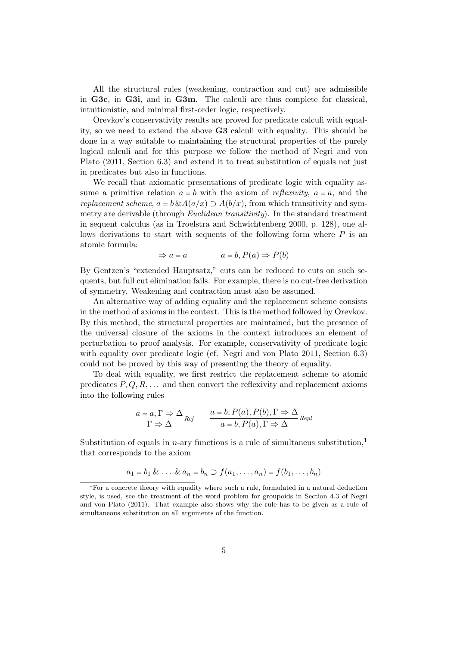All the structural rules (weakening, contraction and cut) are admissible in G3c, in G3i, and in G3m. The calculi are thus complete for classical, intuitionistic, and minimal first-order logic, respectively.

Orevkov's conservativity results are proved for predicate calculi with equality, so we need to extend the above G3 calculi with equality. This should be done in a way suitable to maintaining the structural properties of the purely logical calculi and for this purpose we follow the method of Negri and von Plato (2011, Section 6.3) and extend it to treat substitution of equals not just in predicates but also in functions.

We recall that axiomatic presentations of predicate logic with equality assume a primitive relation  $a = b$  with the axiom of *reflexivity*,  $a = a$ , and the *replacement scheme,*  $a = b \& A(a/x) \supset A(b/x)$ *, from which transitivity and sym*metry are derivable (through *Euclidean transitivity*). In the standard treatment in sequent calculus (as in Troelstra and Schwichtenberg 2000, p. 128), one allows derivations to start with sequents of the following form where *P* is an atomic formula:

$$
\Rightarrow a = a \qquad a = b, P(a) \Rightarrow P(b)
$$

By Gentzen's "extended Hauptsatz," cuts can be reduced to cuts on such sequents, but full cut elimination fails. For example, there is no cut-free derivation of symmetry. Weakening and contraction must also be assumed.

An alternative way of adding equality and the replacement scheme consists in the method of axioms in the context. This is the method followed by Orevkov. By this method, the structural properties are maintained, but the presence of the universal closure of the axioms in the context introduces an element of perturbation to proof analysis. For example, conservativity of predicate logic with equality over predicate logic (cf. Negri and von Plato 2011, Section 6.3) could not be proved by this way of presenting the theory of equality.

To deal with equality, we first restrict the replacement scheme to atomic predicates *P, Q, R, . . .* and then convert the reflexivity and replacement axioms into the following rules

$$
\frac{a = a, \Gamma \Rightarrow \Delta}{\Gamma \Rightarrow \Delta} \text{Re}f \qquad \frac{a = b, P(a), P(b), \Gamma \Rightarrow \Delta}{a = b, P(a), \Gamma \Rightarrow \Delta} \text{Re}p l
$$

Substitution of equals in *n*-ary functions is a rule of simultaneus substitution.<sup>1</sup> that corresponds to the axiom

$$
a_1 = b_1 \& \ldots \& a_n = b_n \supset f(a_1, \ldots, a_n) = f(b_1, \ldots, b_n)
$$

<sup>&</sup>lt;sup>1</sup>For a concrete theory with equality where such a rule, formulated in a natural deduction style, is used, see the treatment of the word problem for groupoids in Section 4.3 of Negri and von Plato (2011). That example also shows why the rule has to be given as a rule of simultaneous substitution on all arguments of the function.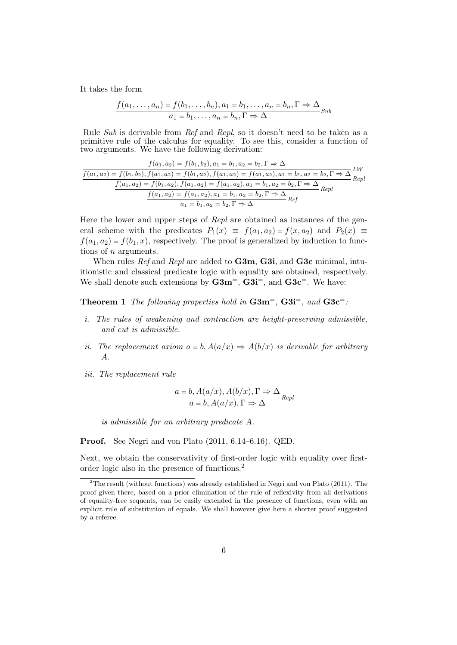It takes the form

$$
\frac{f(a_1,\ldots,a_n)=f(b_1,\ldots,b_n), a_1=b_1,\ldots,a_n=b_n, \Gamma \Rightarrow \Delta}{a_1=b_1,\ldots,a_n=b_n, \Gamma \Rightarrow \Delta} \text{Sub}
$$

Rule *Sub* is derivable from *Ref* and *Repl*, so it doesn't need to be taken as a primitive rule of the calculus for equality. To see this, consider a function of two arguments. We have the following derivation:

$$
f(a_1, a_2) = f(b_1, b_2), a_1 = b_1, a_2 = b_2, \Gamma \Rightarrow \Delta
$$
  

$$
f(a_1, a_2) = f(b_1, b_2), f(a_1, a_2) = f(b_1, a_2), f(a_1, a_2) = f(a_1, a_2), a_1 = b_1, a_2 = b_2, \Gamma \Rightarrow \Delta
$$
  

$$
f(a_1, a_2) = f(b_1, a_2), f(a_1, a_2) = f(a_1, a_2), a_1 = b_1, a_2 = b_2, \Gamma \Rightarrow \Delta
$$
  

$$
f(a_1, a_2) = f(a_1, a_2), a_1 = b_1, a_2 = b_2, \Gamma \Rightarrow \Delta
$$
  

$$
f(a_1, a_2) = f(a_1, a_2), a_1 = b_1, a_2 = b_2, \Gamma \Rightarrow \Delta
$$
  

$$
a_1 = b_1, a_2 = b_2, \Gamma \Rightarrow \Delta
$$

Here the lower and upper steps of *Repl* are obtained as instances of the general scheme with the predicates  $P_1(x) \equiv f(a_1, a_2) = f(x, a_2)$  and  $P_2(x) \equiv f(x, a_2) = f(x, a_2)$  $f(a_1, a_2) = f(b_1, x)$ , respectively. The proof is generalized by induction to functions of *n* arguments.

When rules *Ref* and *Repl* are added to G3m, G3i, and G3c minimal, intuitionistic and classical predicate logic with equality are obtained, respectively. We shall denote such extensions by  $\text{G}3m^=$ ,  $\text{G}3i^=$ , and  $\text{G}3c^=$ . We have:

Theorem 1 *The following properties hold in* G3m=*,* G3i=*, and* G3c=*:*

- *i. The rules of weakening and contraction are height-preserving admissible, and cut is admissible.*
- *ii.* The replacement axiom  $a = b$ ,  $A(a/x) \Rightarrow A(b/x)$  is derivable for arbitrary *A.*
- *iii. The replacement rule*

$$
\frac{a = b, A(a/x), A(b/x), \Gamma \Rightarrow \Delta}{a = b, A(a/x), \Gamma \Rightarrow \Delta} \text{Repl}
$$

*is admissible for an arbitrary predicate A.*

Proof. See Negri and von Plato (2011, 6.14–6.16). QED.

Next, we obtain the conservativity of first-order logic with equality over firstorder logic also in the presence of functions.<sup>2</sup>

<sup>2</sup>The result (without functions) was already established in Negri and von Plato (2011). The proof given there, based on a prior elimination of the rule of reflexivity from all derivations of equality-free sequents, can be easily extended in the presence of functions, even with an explicit rule of substitution of equals. We shall however give here a shorter proof suggested by a referee.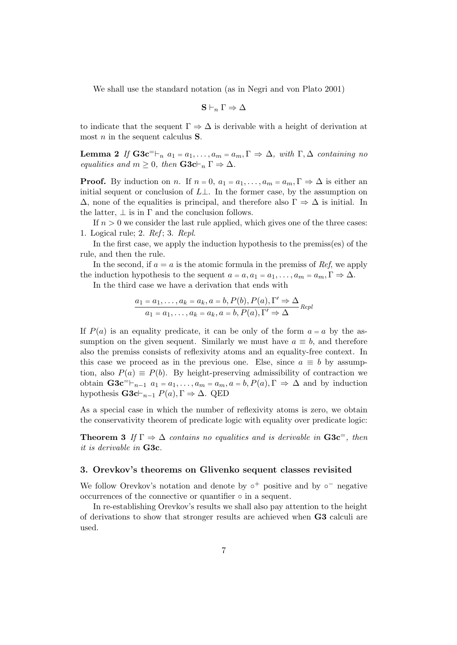We shall use the standard notation (as in Negri and von Plato 2001)

$$
\mathbf{S} \vdash_n \Gamma \Rightarrow \Delta
$$

to indicate that the sequent  $\Gamma \Rightarrow \Delta$  is derivable with a height of derivation at most *n* in the sequent calculus S.

**Lemma 2** If  $\mathbf{G3c}^= \vdash_n a_1 = a_1, \ldots, a_m = a_m, \Gamma \Rightarrow \Delta$ , with  $\Gamma, \Delta$  containing no *equalities and*  $m \geq 0$ *, then*  $\mathbf{G3c} \vdash_n \Gamma \Rightarrow \Delta$ *.* 

**Proof.** By induction on *n*. If  $n = 0$ ,  $a_1 = a_1, \ldots, a_m = a_m, \Gamma \Rightarrow \Delta$  is either an initial sequent or conclusion of  $L\perp$ . In the former case, by the assumption on  $\Delta$ , none of the equalities is principal, and therefore also  $\Gamma \Rightarrow \Delta$  is initial. In the latter,  $\perp$  is in  $\Gamma$  and the conclusion follows.

If  $n > 0$  we consider the last rule applied, which gives one of the three cases: 1. Logical rule; 2. *Ref* ; 3. *Repl*.

In the first case, we apply the induction hypothesis to the premiss(es) of the rule, and then the rule.

In the second, if  $a = a$  is the atomic formula in the premiss of *Ref*, we apply the induction hypothesis to the sequent  $a = a, a_1 = a_1, \ldots, a_m = a_m, \Gamma \Rightarrow \Delta$ .

In the third case we have a derivation that ends with

$$
\frac{a_1 = a_1, \dots, a_k = a_k, a = b, P(b), P(a), \Gamma' \Rightarrow \Delta}{a_1 = a_1, \dots, a_k = a_k, a = b, P(a), \Gamma' \Rightarrow \Delta}
$$

If  $P(a)$  is an equality predicate, it can be only of the form  $a = a$  by the assumption on the given sequent. Similarly we must have  $a \equiv b$ , and therefore also the premiss consists of reflexivity atoms and an equality-free context. In this case we proceed as in the previous one. Else, since  $a \equiv b$  by assumption, also  $P(a) \equiv P(b)$ . By height-preserving admissibility of contraction we obtain  $\mathbf{G3c}^{\dagger}$   $\vdash_{n-1} a_1 = a_1, \ldots, a_m = a_m, a = b, P(a), \Gamma \Rightarrow \Delta$  and by induction hypothesis  $\mathbf{G3c} \vdash_{n-1} P(a), \Gamma \Rightarrow \Delta.$  QED

As a special case in which the number of reflexivity atoms is zero, we obtain the conservativity theorem of predicate logic with equality over predicate logic:

**Theorem 3** If  $\Gamma \Rightarrow \Delta$  contains no equalities and is derivable in  $\mathbf{G3c}^-$ , then *it is derivable in* G3c*.*

#### 3. Orevkov's theorems on Glivenko sequent classes revisited

We follow Orevkov's notation and denote by  $\circ^+$  positive and by  $\circ^-$  negative occurrences of the connective or quantifier  $\circ$  in a sequent.

In re-establishing Orevkov's results we shall also pay attention to the height of derivations to show that stronger results are achieved when G3 calculi are used.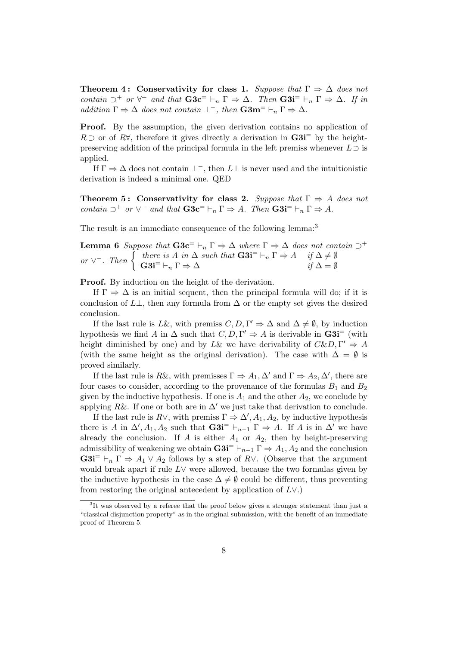**Theorem 4: Conservativity for class 1.** *Suppose that*  $\Gamma \Rightarrow \Delta$  *does not contain*  $\supset^+$  *or*  $\forall^+$  *and that*  $\mathbf{G3c}^- \vdash_n \Gamma \Rightarrow \Delta$ *. Then*  $\mathbf{G3i}^- \vdash_n \Gamma \Rightarrow \Delta$ *. If in addition*  $\Gamma \Rightarrow \Delta$  *does not contain*  $\bot^-$ *, then*  $\mathbf{G3m}^= \vdash_n \Gamma \Rightarrow \Delta$ *.* 

Proof. By the assumption, the given derivation contains no application of  $R \supset$  or of  $R\forall$ , therefore it gives directly a derivation in  $\mathbf{G3i}^{\pm}$  by the heightpreserving addition of the principal formula in the left premiss whenever  $L \supset$  is applied.

If  $\Gamma \Rightarrow \Delta$  does not contain  $\bot^-$ , then  $L\bot$  is never used and the intuitionistic derivation is indeed a minimal one. QED

**Theorem 5: Conservativity for class 2.** *Suppose that*  $\Gamma \Rightarrow A$  *does not contain*  $\supset^+$  *or*  $\vee^-$  *and that*  $\mathbf{G3c}^- \vdash_n \Gamma \Rightarrow A$ *. Then*  $\mathbf{G3i}^- \vdash_n \Gamma \Rightarrow A$ *.* 

The result is an immediate consequence of the following lemma:<sup>3</sup>

**Lemma 6** Suppose that  $\mathbf{G3c}^= \vdash_n \Gamma \Rightarrow \Delta$  where  $\Gamma \Rightarrow \Delta$  does not contain  $\supset^+$  $or \vee$ <sup>-</sup>. Then  $\begin{cases} \text{there is } A \text{ in } \Delta \text{ such that } G3\mathbf{i}^= \vdash_n \Gamma \Rightarrow A & \text{if } \Delta \neq \emptyset \\ G3\mathbf{i}^= \vdash_n \Gamma \Rightarrow \Delta & \text{if } \Delta = \emptyset \end{cases}$ 

**Proof.** By induction on the height of the derivation.

If  $\Gamma \Rightarrow \Delta$  is an initial sequent, then the principal formula will do; if it is conclusion of  $L\perp$ , then any formula from  $\Delta$  or the empty set gives the desired conclusion.

If the last rule is *L&*, with premiss  $C, D, \Gamma' \Rightarrow \Delta$  and  $\Delta \neq \emptyset$ , by induction hypothesis we find *A* in  $\Delta$  such that  $C, D, \Gamma' \Rightarrow A$  is derivable in  $\text{G3i}^=$  (with height diminished by one) and by *L*& we have derivability of  $C\&D, \Gamma' \Rightarrow A$ (with the same height as the original derivation). The case with  $\Delta = \emptyset$  is proved similarly.

If the last rule is R&, with premisses  $\Gamma \Rightarrow A_1, \Delta'$  and  $\Gamma \Rightarrow A_2, \Delta'$ , there are four cases to consider, according to the provenance of the formulas  $B_1$  and  $B_2$ given by the inductive hypothesis. If one is  $A_1$  and the other  $A_2$ , we conclude by applying  $R\&$ . If one or both are in  $\Delta'$  we just take that derivation to conclude.

If the last rule is  $R\vee$ , with premiss  $\Gamma \Rightarrow \Delta', A_1, A_2$ , by inductive hypothesis there is *A* in  $\Delta'$ ,  $A_1$ ,  $A_2$  such that  $\mathbf{G3i}^=$   $\vdash_{n-1} \Gamma \Rightarrow A$ . If *A* is in  $\Delta'$  we have already the conclusion. If *A* is either *A*<sup>1</sup> or *A*2, then by height-preserving admissibility of weakening we obtain  $\mathbf{G3i}^- \vdash_{n-1} \Gamma \Rightarrow A_1, A_2$  and the conclusion  $G3i^= \vdash_n \Gamma \Rightarrow A_1 \vee A_2$  follows by a step of R $\vee$ . (Observe that the argument would break apart if rule  $L \vee$  were allowed, because the two formulas given by the inductive hypothesis in the case  $\Delta \neq \emptyset$  could be different, thus preventing from restoring the original antecedent by application of  $L \vee$ .)

<sup>&</sup>lt;sup>3</sup>It was observed by a referee that the proof below gives a stronger statement than just a "classical disjunction property" as in the original submission, with the benefit of an immediate proof of Theorem 5.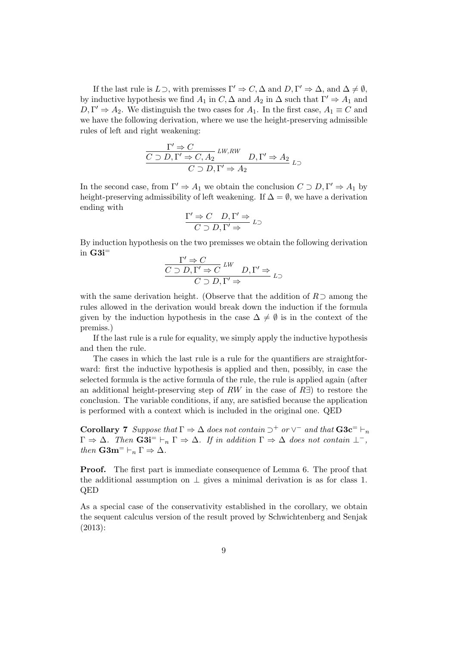If the last rule is  $L \supset$ , with premisses  $\Gamma' \Rightarrow C, \Delta$  and  $D, \Gamma' \Rightarrow \Delta$ , and  $\Delta \neq \emptyset$ . by inductive hypothesis we find  $A_1$  in  $C$ ,  $\Delta$  and  $A_2$  in  $\Delta$  such that  $\Gamma' \Rightarrow A_1$  and  $D, \Gamma' \Rightarrow A_2$ . We distinguish the two cases for  $A_1$ . In the first case,  $A_1 \equiv C$  and we have the following derivation, where we use the height-preserving admissible rules of left and right weakening:

$$
\frac{\Gamma' \Rightarrow C}{C \supset D, \Gamma' \Rightarrow C, A_2} \lim_{L \to \infty} D, \Gamma' \Rightarrow A_2
$$
  

$$
C \supset D, \Gamma' \Rightarrow A_2
$$

In the second case, from  $\Gamma' \Rightarrow A_1$  we obtain the conclusion  $C \supset D, \Gamma' \Rightarrow A_1$  by height-preserving admissibility of left weakening. If  $\Delta = \emptyset$ , we have a derivation ending with

$$
\frac{\Gamma' \Rightarrow C \quad D, \Gamma' \Rightarrow}{C \supset D, \Gamma' \Rightarrow} L \supset
$$

By induction hypothesis on the two premisses we obtain the following derivation in  $G3i$ <sup>=</sup>

$$
\frac{\Gamma' \Rightarrow C}{C \supset D, \Gamma' \Rightarrow C} \xrightarrow{LW} D, \Gamma' \Rightarrow
$$
  

$$
C \supset D, \Gamma' \Rightarrow
$$

with the same derivation height. (Observe that the addition of  $R$ ) among the rules allowed in the derivation would break down the induction if the formula given by the induction hypothesis in the case  $\Delta \neq \emptyset$  is in the context of the premiss.)

If the last rule is a rule for equality, we simply apply the inductive hypothesis and then the rule.

The cases in which the last rule is a rule for the quantifiers are straightforward: first the inductive hypothesis is applied and then, possibly, in case the selected formula is the active formula of the rule, the rule is applied again (after an additional height-preserving step of  $RW$  in the case of  $R\exists$ ) to restore the conclusion. The variable conditions, if any, are satisfied because the application is performed with a context which is included in the original one. QED

**Corollary 7** Suppose that  $\Gamma \Rightarrow \Delta$  does not contain  $\supset^+$  or  $\vee^-$  and that  $\mathbf{G3c}^- \vdash_n$  $\Gamma \Rightarrow \Delta$ . Then  $\mathbf{G3i}^- \vdash_n \Gamma \Rightarrow \Delta$ . If in addition  $\Gamma \Rightarrow \Delta$  does not contain  $\bot^-$ , *then*  $\mathbf{G3m}^- \vdash_n \Gamma \Rightarrow \Delta$ .

Proof. The first part is immediate consequence of Lemma 6. The proof that the additional assumption on  $\perp$  gives a minimal derivation is as for class 1. QED

As a special case of the conservativity established in the corollary, we obtain the sequent calculus version of the result proved by Schwichtenberg and Senjak (2013):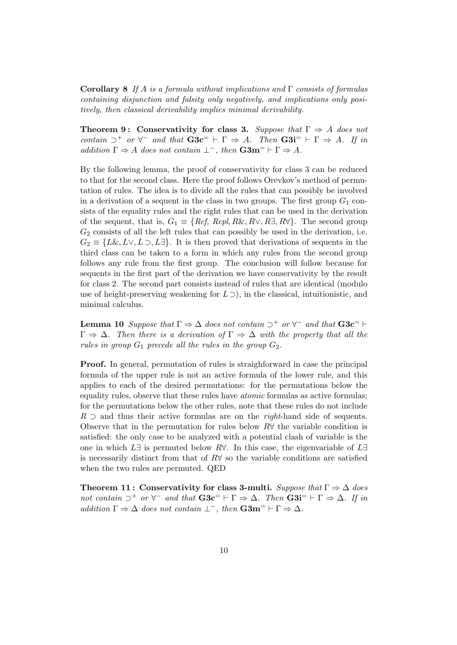Corollary 8 *If A is a formula without implications and consists of formulas containing disjunction and falsity only negatively, and implications only positively, then classical derivability implies minimal derivability.*

**Theorem 9: Conservativity for class 3.** Suppose that  $\Gamma \Rightarrow A$  does not *contain*  $\supset^+$  *or*  $\forall^-$  *and that*  $\mathbf{G3c}^ \vdash \Gamma \Rightarrow A$ *. Then*  $\mathbf{G3i}^ \vdash \Gamma \Rightarrow A$ *. If in addition*  $\Gamma \Rightarrow A$  *does not contain*  $\bot^-$ *, then*  $\mathbf{G3m}^= \vdash \Gamma \Rightarrow A$ *.* 

By the following lemma, the proof of conservativity for class 3 can be reduced to that for the second class. Here the proof follows Orevkov's method of permutation of rules. The idea is to divide all the rules that can possibly be involved in a derivation of a sequent in the class in two groups. The first group  $G_1$  consists of the equality rules and the right rules that can be used in the derivation of the sequent, that is,  $G_1 \equiv \{Ref, Repl, R\&R, R\vee, R\exists, R\forall\}$ . The second group *G*<sup>2</sup> consists of all the left rules that can possibly be used in the derivation, i.e.  $G_2 \equiv \{L\&, L\vee, L\supset, L\}$ . It is then proved that derivations of sequents in the third class can be taken to a form in which any rules from the second group follows any rule from the first group. The conclusion will follow because for sequents in the first part of the derivation we have conservativity by the result for class 2. The second part consists instead of rules that are identical (modulo use of height-preserving weakening for  $L \supset$ ), in the classical, intuitionistic, and minimal calculus.

**Lemma 10** *Suppose that*  $\Gamma \Rightarrow \Delta$  *does not contain*  $\supset^+$  *or*  $\forall^-$  *and that*  $\mathbf{G3c^=}\vdash$  $\Gamma \Rightarrow \Delta$ . Then there is a derivation of  $\Gamma \Rightarrow \Delta$  with the property that all the *rules in group*  $G_1$  *precede all the rules in the group*  $G_2$ *.* 

Proof. In general, permutation of rules is straighforward in case the principal formula of the upper rule is not an active formula of the lower rule, and this applies to each of the desired permutations: for the permutations below the equality rules, observe that these rules have *atomic* formulas as active formulas; for the permutations below the other rules, note that these rules do not include  $R \supset$  and thus their active formulas are on the *right*-hand side of sequents. Observe that in the permutation for rules below  $R\forall$  the variable condition is satisfied: the only case to be analyzed with a potential clash of variable is the one in which  $L \exists$  is permuted below  $R \forall$ . In this case, the eigenvariable of  $L \exists$ is necessarily distinct from that of  $R\forall$  so the variable conditions are satisfied when the two rules are permuted. QED

Theorem 11: Conservativity for class 3-multi. *Suppose that*  $\Gamma \Rightarrow \Delta$  *does not contain*  $\supset^+$  *or*  $\forall^-$  *and that*  $\mathbf{G3c}^ \vdash \Gamma \Rightarrow \Delta$ *. Then*  $\mathbf{G3i}^ \vdash \Gamma \Rightarrow \Delta$ *. If in addition*  $\Gamma \Rightarrow \Delta$  *does not contain*  $\bot^-$ *, then*  $\mathbf{G3m}^= \vdash \Gamma \Rightarrow \Delta$ *.*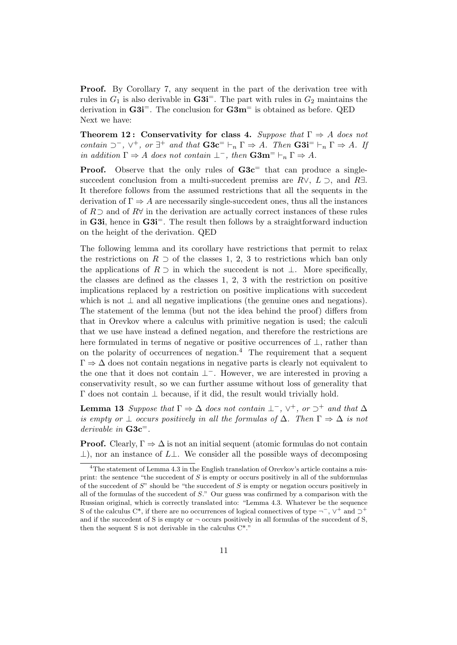**Proof.** By Corollary 7, any sequent in the part of the derivation tree with rules in  $G_1$  is also derivable in  $\text{G3i}^=$ . The part with rules in  $G_2$  maintains the derivation in  $\text{G3i}^{\pm}$ . The conclusion for  $\text{G3m}^{\pm}$  is obtained as before. QED Next we have:

**Theorem 12: Conservativity for class 4.** *Suppose that*  $\Gamma \Rightarrow A$  *does not contain*  $\supset^-$ ,  $\vee^+$ , *or*  $\exists^+$  *and that*  $\mathbf{G3c}^- \vdash_n \Gamma \Rightarrow A$ *. Then*  $\mathbf{G3i}^- \vdash_n \Gamma \Rightarrow A$ *. If in addition*  $\Gamma \Rightarrow A$  *does not contain*  $\bot^-$ *, then*  $\mathbf{G3m}^= \vdash_n \Gamma \Rightarrow A$ *.* 

**Proof.** Observe that the only rules of  $G3c$ <sup>=</sup> that can produce a singlesuccedent conclusion from a multi-succedent premiss are  $R\vee$ ,  $L \supset$ , and  $R\exists$ . It therefore follows from the assumed restrictions that all the sequents in the derivation of  $\Gamma \Rightarrow A$  are necessarily single-succedent ones, thus all the instances of  $R \supset$  and of  $R \forall$  in the derivation are actually correct instances of these rules in G3i, hence in G3i<sup> $=$ </sup>. The result then follows by a straightforward induction on the height of the derivation. QED

The following lemma and its corollary have restrictions that permit to relax the restrictions on  $R \supset$  of the classes 1, 2, 3 to restrictions which ban only the applications of  $R \supset$  in which the succedent is not  $\perp$ . More specifically, the classes are defined as the classes 1, 2, 3 with the restriction on positive implications replaced by a restriction on positive implications with succedent which is not  $\perp$  and all negative implications (the genuine ones and negations). The statement of the lemma (but not the idea behind the proof) differs from that in Orevkov where a calculus with primitive negation is used; the calculi that we use have instead a defined negation, and therefore the restrictions are here formulated in terms of negative or positive occurrences of  $\perp$ , rather than on the polarity of occurrences of negation.<sup>4</sup> The requirement that a sequent  $\Gamma \Rightarrow \Delta$  does not contain negations in negative parts is clearly not equivalent to the one that it does not contain  $\perp^-$ . However, we are interested in proving a conservativity result, so we can further assume without loss of generality that  $\Gamma$  does not contain  $\perp$  because, if it did, the result would trivially hold.

**Lemma 13** *Suppose that*  $\Gamma \Rightarrow \Delta$  *does not contain*  $\bot^-$ ,  $\vee^+$ , *or*  $\supset^+$  *and that*  $\Delta$ *is empty or*  $\perp$  *occurs positively in all the formulas of*  $\Delta$ *. Then*  $\Gamma \Rightarrow \Delta$  *is not derivable in* G3c=*.*

**Proof.** Clearly,  $\Gamma \Rightarrow \Delta$  is not an initial sequent (atomic formulas do not contain  $\perp$ ), nor an instance of  $L\perp$ . We consider all the possible ways of decomposing

<sup>&</sup>lt;sup>4</sup>The statement of Lemma 4.3 in the English translation of Orevkov's article contains a misprint: the sentence "the succedent of *S* is empty or occurs positively in all of the subformulas of the succedent of *S*" should be "the succedent of *S* is empty or negation occurs positively in all of the formulas of the succedent of *S*." Our guess was confirmed by a comparison with the Russian original, which is correctly translated into: "Lemma 4.3. Whatever be the sequence S of the calculus C<sup>\*</sup>, if there are no occurrences of logical connectives of type  $\neg^{-}$ ,  $\nabla^{+}$  and  $\neg^{+}$ and if the succedent of S is empty or  $\neg$  occurs positively in all formulas of the succedent of S, then the sequent S is not derivable in the calculus C\*."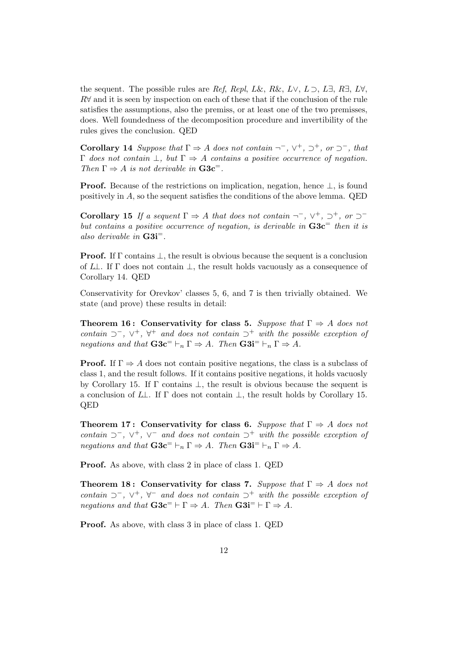the sequent. The possible rules are *Ref*, *Repl*, *L*&, *R*&, *L* $\vee$ , *L* $\supset$ , *L* $\exists$ , *R* $\exists$ , *L* $\forall$ ,  $R\forall$  and it is seen by inspection on each of these that if the conclusion of the rule satisfies the assumptions, also the premiss, or at least one of the two premisses, does. Well foundedness of the decomposition procedure and invertibility of the rules gives the conclusion. QED

**Corollary 14** *Suppose that*  $\Gamma \Rightarrow A$  *does not contain*  $\neg^{-}$ ,  $\vee^{+}$ ,  $\neg^{+}$ , *or*  $\neg^{-}$ , *that*  $\Gamma$  *does not contain*  $\bot$ , *but*  $\Gamma \Rightarrow A$  *contains a positive occurrence of negation. Then*  $\Gamma \Rightarrow A$  *is not derivable in*  $\mathbf{G3c}^{-1}$ *.* 

**Proof.** Because of the restrictions on implication, negation, hence  $\perp$ , is found positively in *A*, so the sequent satisfies the conditions of the above lemma. QED

**Corollary 15** If a sequent  $\Gamma \Rightarrow A$  that does not contain  $\neg^{-}$ ,  $\vee^{+}$ ,  $\neg^{+}$ , or  $\neg^{-}$ *but contains a positive occurrence of negation, is derivable in* G3c<sup>=</sup> *then it is also derivable in* G3i=*.*

**Proof.** If  $\Gamma$  contains  $\bot$ , the result is obvious because the sequent is a conclusion of  $L\mathcal{L}$ . If  $\Gamma$  does not contain  $\mathcal{L}$ , the result holds vacuously as a consequence of Corollary 14. QED

Conservativity for Orevkov' classes 5, 6, and 7 is then trivially obtained. We state (and prove) these results in detail:

Theorem 16: Conservativity for class 5. Suppose that  $\Gamma \Rightarrow A$  does not *contain*  $\supset$ <sup>-</sup>,  $\vee$ <sup>+</sup>,  $\forall$ <sup>+</sup> *and does not contain*  $\supset$ <sup>+</sup> *with the possible exception of negations and that*  $\mathbf{G3c}^- \vdash_n \Gamma \Rightarrow A$ *. Then*  $\mathbf{G3i}^- \vdash_n \Gamma \Rightarrow A$ *.* 

**Proof.** If  $\Gamma \Rightarrow A$  does not contain positive negations, the class is a subclass of class 1, and the result follows. If it contains positive negations, it holds vacuosly by Corollary 15. If  $\Gamma$  contains  $\perp$ , the result is obvious because the sequent is a conclusion of  $L\perp$ . If  $\Gamma$  does not contain  $\perp$ , the result holds by Corollary 15. QED

**Theorem 17: Conservativity for class 6.** Suppose that  $\Gamma \Rightarrow A$  does not *contain*  $\supset$ ,  $\vee$ <sup>+</sup>,  $\vee$ <sup>-</sup> and does not contain  $\supset$ <sup>+</sup> with the possible exception of *negations and that*  $\mathbf{G3c}^- \vdash_n \Gamma \Rightarrow A$ *. Then*  $\mathbf{G3i}^- \vdash_n \Gamma \Rightarrow A$ *.* 

Proof. As above, with class 2 in place of class 1. QED

Theorem 18: Conservativity for class 7. Suppose that  $\Gamma \Rightarrow A$  does not *contain*  $\supset$ ,  $\vee$ <sup>+</sup>,  $\forall$  *and does not contain*  $\supset$ <sup>+</sup> *with the possible exception of negations and that*  $\mathbf{G3c}^= \vdash \Gamma \Rightarrow A$ *. Then*  $\mathbf{G3i}^= \vdash \Gamma \Rightarrow A$ *.* 

Proof. As above, with class 3 in place of class 1. QED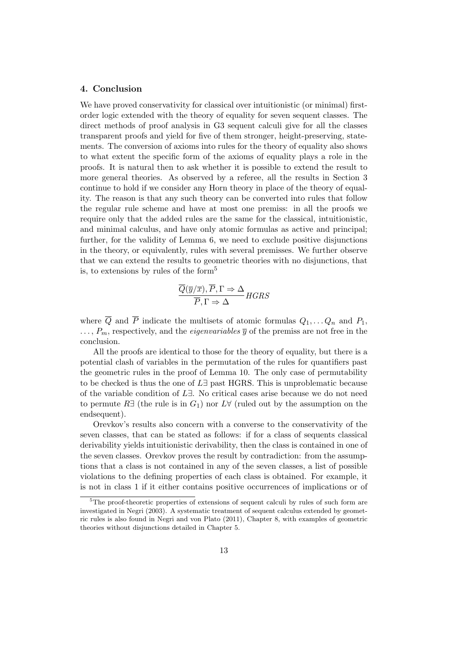### 4. Conclusion

We have proved conservativity for classical over intuitionistic (or minimal) firstorder logic extended with the theory of equality for seven sequent classes. The direct methods of proof analysis in G3 sequent calculi give for all the classes transparent proofs and yield for five of them stronger, height-preserving, statements. The conversion of axioms into rules for the theory of equality also shows to what extent the specific form of the axioms of equality plays a role in the proofs. It is natural then to ask whether it is possible to extend the result to more general theories. As observed by a referee, all the results in Section 3 continue to hold if we consider any Horn theory in place of the theory of equality. The reason is that any such theory can be converted into rules that follow the regular rule scheme and have at most one premiss: in all the proofs we require only that the added rules are the same for the classical, intuitionistic, and minimal calculus, and have only atomic formulas as active and principal; further, for the validity of Lemma 6, we need to exclude positive disjunctions in the theory, or equivalently, rules with several premisses. We further observe that we can extend the results to geometric theories with no disjunctions, that is, to extensions by rules of the form<sup>5</sup>

$$
\frac{\overline{Q}(\overline{y}/\overline{x}), \overline{P}, \Gamma \Rightarrow \Delta}{\overline{P}, \Gamma \Rightarrow \Delta} HGRS
$$

where  $\overline{Q}$  and  $\overline{P}$  indicate the multisets of atomic formulas  $Q_1, \ldots Q_n$  and  $P_1$ ,  $\ldots$ ,  $P_m$ , respectively, and the *eigenvariables*  $\overline{y}$  of the premiss are not free in the conclusion.

All the proofs are identical to those for the theory of equality, but there is a potential clash of variables in the permutation of the rules for quantifiers past the geometric rules in the proof of Lemma 10. The only case of permutability to be checked is thus the one of  $L \exists$  past HGRS. This is unproblematic because of the variable condition of *L*9. No critical cases arise because we do not need to permute  $R\exists$  (the rule is in  $G_1$ ) nor  $L\forall$  (ruled out by the assumption on the endsequent).

Orevkov's results also concern with a converse to the conservativity of the seven classes, that can be stated as follows: if for a class of sequents classical derivability yields intuitionistic derivability, then the class is contained in one of the seven classes. Orevkov proves the result by contradiction: from the assumptions that a class is not contained in any of the seven classes, a list of possible violations to the defining properties of each class is obtained. For example, it is not in class 1 if it either contains positive occurrences of implications or of

<sup>5</sup>The proof-theoretic properties of extensions of sequent calculi by rules of such form are investigated in Negri (2003). A systematic treatment of sequent calculus extended by geometric rules is also found in Negri and von Plato (2011), Chapter 8, with examples of geometric theories without disjunctions detailed in Chapter 5.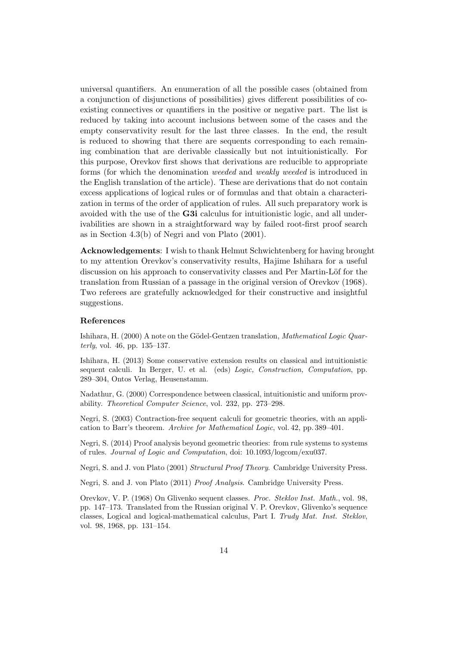universal quantifiers. An enumeration of all the possible cases (obtained from a conjunction of disjunctions of possibilities) gives different possibilities of coexisting connectives or quantifiers in the positive or negative part. The list is reduced by taking into account inclusions between some of the cases and the empty conservativity result for the last three classes. In the end, the result is reduced to showing that there are sequents corresponding to each remaining combination that are derivable classically but not intuitionistically. For this purpose, Orevkov first shows that derivations are reducible to appropriate forms (for which the denomination *weeded* and *weakly weeded* is introduced in the English translation of the article). These are derivations that do not contain excess applications of logical rules or of formulas and that obtain a characterization in terms of the order of application of rules. All such preparatory work is avoided with the use of the G3i calculus for intuitionistic logic, and all underivabilities are shown in a straightforward way by failed root-first proof search as in Section 4.3(b) of Negri and von Plato (2001).

Acknowledgements: I wish to thank Helmut Schwichtenberg for having brought to my attention Orevkov's conservativity results, Hajime Ishihara for a useful discussion on his approach to conservativity classes and Per Martin-Löf for the translation from Russian of a passage in the original version of Orevkov (1968). Two referees are gratefully acknowledged for their constructive and insightful suggestions.

#### References

Ishihara, H. (2000) A note on the Gödel-Gentzen translation, *Mathematical Logic Quarterly*, vol. 46, pp. 135–137.

Ishihara, H. (2013) Some conservative extension results on classical and intuitionistic sequent calculi. In Berger, U. et al. (eds) *Logic, Construction, Computation*, pp. 289–304, Ontos Verlag, Heusenstamm.

Nadathur, G. (2000) Correspondence between classical, intuitionistic and uniform provability. *Theoretical Computer Science*, vol. 232, pp. 273–298.

Negri, S. (2003) Contraction-free sequent calculi for geometric theories, with an application to Barr's theorem. *Archive for Mathematical Logic*, vol. 42, pp. 389–401.

Negri, S. (2014) Proof analysis beyond geometric theories: from rule systems to systems of rules. *Journal of Logic and Computation*, doi: 10.1093/logcom/exu037.

Negri, S. and J. von Plato (2001) *Structural Proof Theory*. Cambridge University Press.

Negri, S. and J. von Plato (2011) *Proof Analysis*. Cambridge University Press.

Orevkov, V. P. (1968) On Glivenko sequent classes. *Proc. Steklov Inst. Math.*, vol. 98, pp. 147–173. Translated from the Russian original V. P. Orevkov, Glivenko's sequence classes, Logical and logical-mathematical calculus, Part I. *Trudy Mat. Inst. Steklov*, vol. 98, 1968, pp. 131–154.